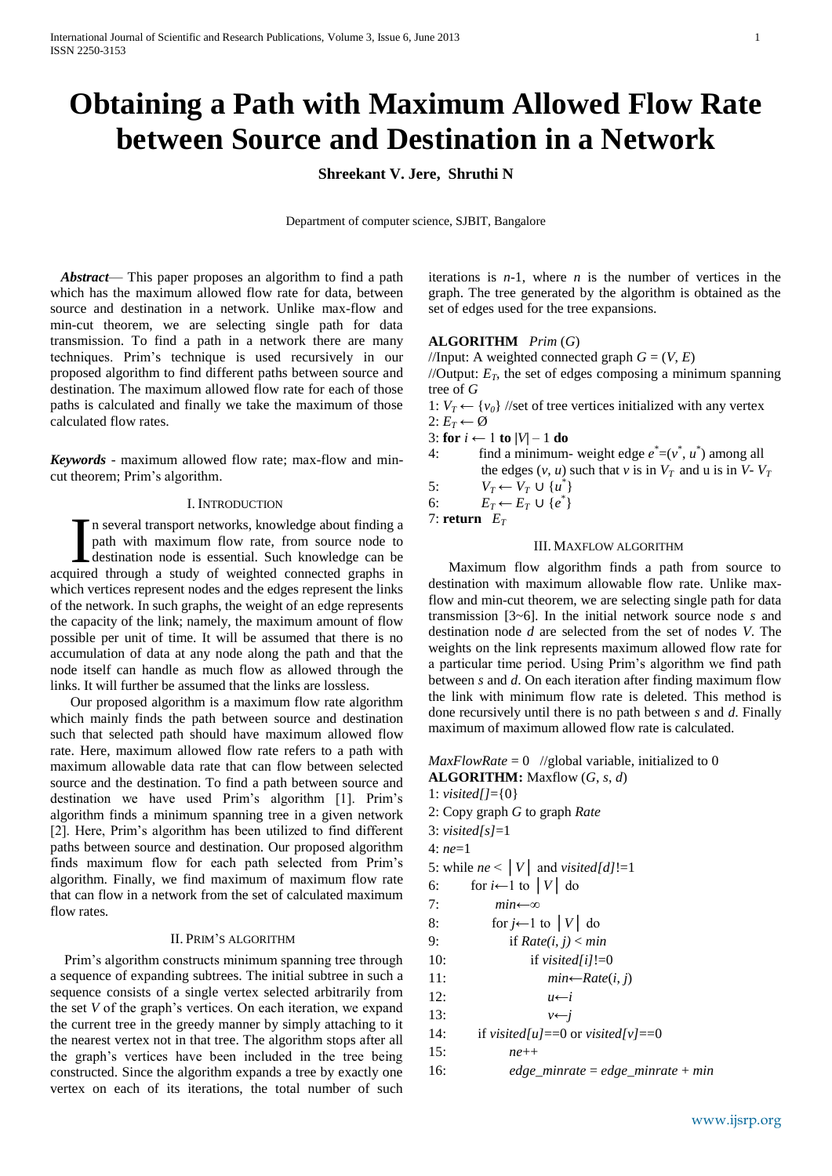# **Obtaining a Path with Maximum Allowed Flow Rate between Source and Destination in a Network**

# **Shreekant V. Jere, Shruthi N**

Department of computer science, SJBIT, Bangalore

*Abstract—* This paper proposes an algorithm to find a path which has the maximum allowed flow rate for data, between source and destination in a network. Unlike max-flow and min-cut theorem, we are selecting single path for data transmission. To find a path in a network there are many techniques. Prim's technique is used recursively in our proposed algorithm to find different paths between source and destination. The maximum allowed flow rate for each of those paths is calculated and finally we take the maximum of those calculated flow rates.

*Keywords* - maximum allowed flow rate; max-flow and mincut theorem; Prim's algorithm.

# I. INTRODUCTION

n several transport networks, knowledge about finding a path with maximum flow rate, from source node to destination node is essential. Such knowledge can be In several transport networks, knowledge about finding a path with maximum flow rate, from source node to destination node is essential. Such knowledge can be acquired through a study of weighted connected graphs in which vertices represent nodes and the edges represent the links of the network. In such graphs, the weight of an edge represents the capacity of the link; namely, the maximum amount of flow possible per unit of time. It will be assumed that there is no accumulation of data at any node along the path and that the node itself can handle as much flow as allowed through the links. It will further be assumed that the links are lossless.

Our proposed algorithm is a maximum flow rate algorithm which mainly finds the path between source and destination such that selected path should have maximum allowed flow rate. Here, maximum allowed flow rate refers to a path with maximum allowable data rate that can flow between selected source and the destination. To find a path between source and destination we have used Prim's algorithm [1]. Prim's algorithm finds a minimum spanning tree in a given network [2]. Here, Prim's algorithm has been utilized to find different paths between source and destination. Our proposed algorithm finds maximum flow for each path selected from Prim's algorithm. Finally, we find maximum of maximum flow rate that can flow in a network from the set of calculated maximum flow rates.

## II. PRIM'S ALGORITHM

 Prim's algorithm constructs minimum spanning tree through a sequence of expanding subtrees. The initial subtree in such a sequence consists of a single vertex selected arbitrarily from the set *V* of the graph's vertices. On each iteration, we expand the current tree in the greedy manner by simply attaching to it the nearest vertex not in that tree. The algorithm stops after all the graph's vertices have been included in the tree being constructed. Since the algorithm expands a tree by exactly one vertex on each of its iterations, the total number of such

iterations is *n*-1, where *n* is the number of vertices in the graph. The tree generated by the algorithm is obtained as the set of edges used for the tree expansions.

# **ALGORITHM** *Prim* (*G*)

//Input: A weighted connected graph  $G = (V, E)$ //Output:  $E_T$ , the set of edges composing a minimum spanning tree of *G*

1:  $V_T \leftarrow \{v_0\}$  //set of tree vertices initialized with any vertex 2:  $E_T \leftarrow \emptyset$ 

- 3: **for**  $i \leftarrow 1$  **to**  $|V| 1$  **do**
- 4: find a minimum- weight edge  $e^* = (v^*, u^*)$  among all the edges  $(v, u)$  such that  $v$  is in  $V_T$  and u is in  $V - V_T$ <br>5:  $V_T \leftarrow V_T \cup \{u^*\}$

5:  $V_T \leftarrow V_T \cup \{u^*\}$ 

6: 
$$
E_T \leftarrow E_T \cup \{e^*\}
$$

7: **return**  $E_T$ 

# III. MAXFLOW ALGORITHM

Maximum flow algorithm finds a path from source to destination with maximum allowable flow rate. Unlike maxflow and min-cut theorem, we are selecting single path for data transmission [3~6]. In the initial network source node *s* and destination node *d* are selected from the set of nodes *V*. The weights on the link represents maximum allowed flow rate for a particular time period. Using Prim's algorithm we find path between *s* and *d*. On each iteration after finding maximum flow the link with minimum flow rate is deleted. This method is done recursively until there is no path between *s* and *d*. Finally maximum of maximum allowed flow rate is calculated.

```
MaxFlowRate = 0 //global variable, initialized to 0
```

```
ALGORITHM: Maxflow (G, s, d)
1: visited[]={0}
2: Copy graph G to graph Rate
3: visited[s]=1
4: ne=1
5: while ne < |V| and visited[d]!=1
6: for i \leftarrow 1 to |V| do
7: min←∞
8: for j \leftarrow 1 to |V| do
9: if Rate(i, j) < min
10: if visited[i]!=0
11: min←Rate(i, j)
12: u \leftarrow i13: v \leftarrow j14: if visited[u]==0 or visited[v]==0
15: ne++
16: edge_minrate = edge_minrate + min
```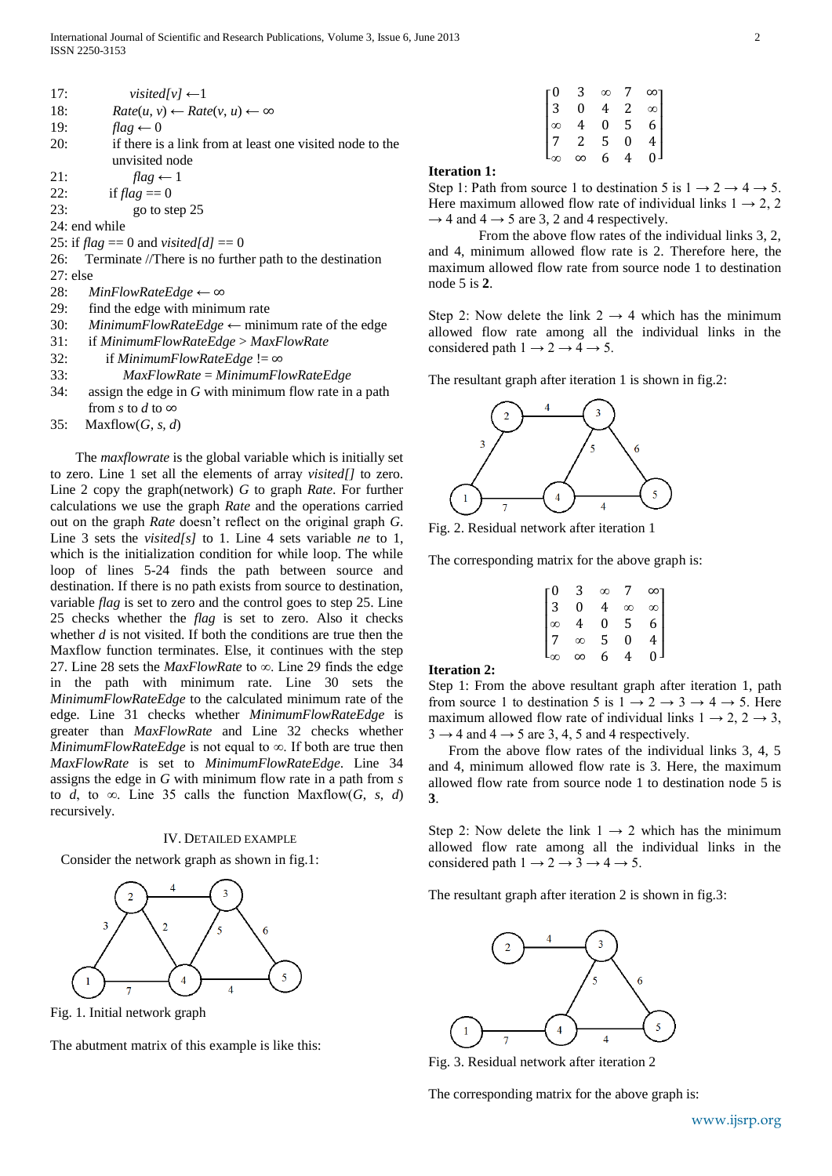| 17: | visited[v] $\leftarrow$ 1                                        |
|-----|------------------------------------------------------------------|
| 18: | $Rate(u, v) \leftarrow Rate(v, u) \leftarrow \infty$             |
| 19: | $flag \leftarrow 0$                                              |
| 20: | if there is a link from at least one visited node to the         |
|     | unvisited node                                                   |
| 21: | $flag \leftarrow 1$                                              |
| 22: | if $flag == 0$                                                   |
| 23: | go to step 25                                                    |
|     | 24: end while                                                    |
|     | 25: if $flag == 0$ and visited[d] == 0                           |
| 26: | Terminate //There is no further path to the destination          |
|     | $27:$ else                                                       |
| 28: | $MinFlowRateEdge \leftarrow \infty$                              |
| 29: | find the edge with minimum rate                                  |
| 30: | <i>MinimumFlowRateEdge</i> $\leftarrow$ minimum rate of the edge |
| 31: | if MinimumFlowRateEdge > MaxFlowRate                             |
| 32: | if MinimumFlowRateEdge != $\infty$                               |
| 33: | $MaxFlowRate = MinimumFlowRateEdge$                              |
| 34: | assign the edge in $G$ with minimum flow rate in a path          |
|     | from s to d to $\infty$                                          |

35: Maxflow
$$
(G, s, d)
$$

The *maxflowrate* is the global variable which is initially set to zero. Line 1 set all the elements of array *visited[]* to zero. Line 2 copy the graph(network) *G* to graph *Rate*. For further calculations we use the graph *Rate* and the operations carried out on the graph *Rate* doesn't reflect on the original graph *G*. Line 3 sets the *visited[s]* to 1. Line 4 sets variable *ne* to 1, which is the initialization condition for while loop. The while loop of lines 5-24 finds the path between source and destination. If there is no path exists from source to destination, variable *flag* is set to zero and the control goes to step 25. Line 25 checks whether the *flag* is set to zero. Also it checks whether *d* is not visited. If both the conditions are true then the Maxflow function terminates. Else, it continues with the step 27. Line 28 sets the *MaxFlowRate* to ∞. Line 29 finds the edge in the path with minimum rate. Line 30 sets the *MinimumFlowRateEdge* to the calculated minimum rate of the edge. Line 31 checks whether *MinimumFlowRateEdge* is greater than *MaxFlowRate* and Line 32 checks whether *MinimumFlowRateEdge* is not equal to ∞. If both are true then *MaxFlowRate* is set to *MinimumFlowRateEdge*. Line 34 assigns the edge in *G* with minimum flow rate in a path from *s* to *d*, to  $\infty$ . Line 35 calls the function Maxflow(*G*, *s*, *d*) recursively.

# IV. DETAILED EXAMPLE

Consider the network graph as shown in fig.1:



Fig. 1. Initial network graph

The abutment matrix of this example is like this:

| -0              | 3             | $\infty$       | $\overline{7}$ | $\infty$       |
|-----------------|---------------|----------------|----------------|----------------|
| 3               | 0             | 4              | 2              | $\infty$       |
|                 | $\frac{4}{2}$ | $\overline{0}$ | 5              | $6 \mid$       |
| $\overline{17}$ |               | $\frac{1}{5}$  | 0              | $\overline{4}$ |
|                 | $\infty$      | 6              | 4              | 0              |

# **Iteration 1:**

Step 1: Path from source 1 to destination 5 is  $1 \rightarrow 2 \rightarrow 4 \rightarrow 5$ . Here maximum allowed flow rate of individual links  $1 \rightarrow 2, 2$  $\rightarrow$  4 and 4  $\rightarrow$  5 are 3, 2 and 4 respectively.

From the above flow rates of the individual links 3, 2, and 4, minimum allowed flow rate is 2. Therefore here, the maximum allowed flow rate from source node 1 to destination node 5 is **2**.

Step 2: Now delete the link  $2 \rightarrow 4$  which has the minimum allowed flow rate among all the individual links in the considered path  $1 \rightarrow 2 \rightarrow 4 \rightarrow 5$ .

The resultant graph after iteration 1 is shown in fig.2:



Fig. 2. Residual network after iteration 1

The corresponding matrix for the above graph is:

| -0       | 3 | $\infty$ | 7 | 8.       |
|----------|---|----------|---|----------|
| 3        | 0 | 4        | ∞ | $\infty$ |
| $\infty$ | 4 | 0        | 5 | 6        |
| 7        | ∞ | 5        | 0 | 4        |
|          | ∞ | 6        | 4 |          |

#### **Iteration 2:**

Step 1: From the above resultant graph after iteration 1, path from source 1 to destination 5 is  $1 \rightarrow 2 \rightarrow 3 \rightarrow 4 \rightarrow 5$ . Here maximum allowed flow rate of individual links  $1 \rightarrow 2$ ,  $2 \rightarrow 3$ ,  $3 \rightarrow 4$  and  $4 \rightarrow 5$  are 3, 4, 5 and 4 respectively.

From the above flow rates of the individual links 3, 4, 5 and 4, minimum allowed flow rate is 3. Here, the maximum allowed flow rate from source node 1 to destination node 5 is **3**.

Step 2: Now delete the link  $1 \rightarrow 2$  which has the minimum allowed flow rate among all the individual links in the considered path  $1 \rightarrow 2 \rightarrow 3 \rightarrow 4 \rightarrow 5$ .

The resultant graph after iteration 2 is shown in fig.3:



Fig. 3. Residual network after iteration 2

The corresponding matrix for the above graph is: